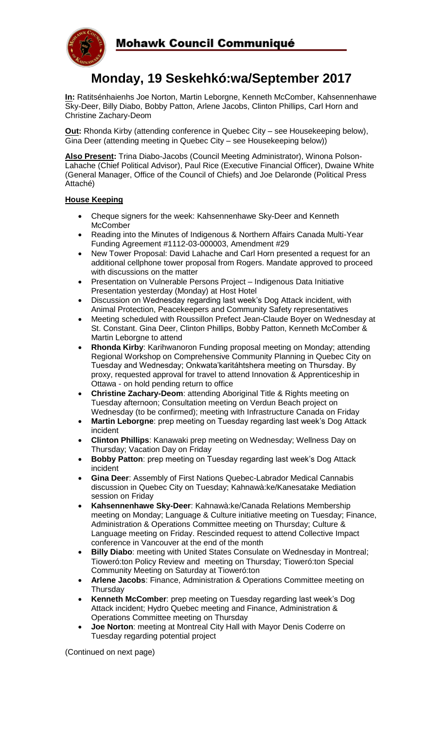

# **Monday, 19 Seskehkó:wa/September 2017**

**In:** Ratitsénhaienhs Joe Norton, Martin Leborgne, Kenneth McComber, Kahsennenhawe Sky-Deer, Billy Diabo, Bobby Patton, Arlene Jacobs, Clinton Phillips, Carl Horn and Christine Zachary-Deom

**Out:** Rhonda Kirby (attending conference in Quebec City – see Housekeeping below), Gina Deer (attending meeting in Quebec City – see Housekeeping below))

**Also Present:** Trina Diabo-Jacobs (Council Meeting Administrator), Winona Polson-Lahache (Chief Political Advisor), Paul Rice (Executive Financial Officer), Dwaine White (General Manager, Office of the Council of Chiefs) and Joe Delaronde (Political Press Attaché)

# **House Keeping**

- Cheque signers for the week: Kahsennenhawe Sky-Deer and Kenneth **McComber**
- Reading into the Minutes of Indigenous & Northern Affairs Canada Multi-Year Funding Agreement #1112-03-000003, Amendment #29
- New Tower Proposal: David Lahache and Carl Horn presented a request for an additional cellphone tower proposal from Rogers. Mandate approved to proceed with discussions on the matter
- Presentation on Vulnerable Persons Project Indigenous Data Initiative Presentation yesterday (Monday) at Host Hotel
- Discussion on Wednesday regarding last week's Dog Attack incident, with Animal Protection, Peacekeepers and Community Safety representatives
- Meeting scheduled with Roussillon Prefect Jean-Claude Boyer on Wednesday at St. Constant. Gina Deer, Clinton Phillips, Bobby Patton, Kenneth McComber & Martin Leborgne to attend
- **Rhonda Kirby**: Karihwanoron Funding proposal meeting on Monday; attending Regional Workshop on Comprehensive Community Planning in Quebec City on Tuesday and Wednesday; Onkwata'karitáhtshera meeting on Thursday. By proxy, requested approval for travel to attend Innovation & Apprenticeship in Ottawa - on hold pending return to office
- **Christine Zachary-Deom**: attending Aboriginal Title & Rights meeting on Tuesday afternoon; Consultation meeting on Verdun Beach project on Wednesday (to be confirmed); meeting with Infrastructure Canada on Friday
- **Martin Leborgne**: prep meeting on Tuesday regarding last week's Dog Attack incident
- **Clinton Phillips**: Kanawaki prep meeting on Wednesday; Wellness Day on Thursday; Vacation Day on Friday
- **Bobby Patton**: prep meeting on Tuesday regarding last week's Dog Attack incident
- **Gina Deer**: Assembly of First Nations Quebec-Labrador Medical Cannabis discussion in Quebec City on Tuesday; Kahnawà:ke/Kanesatake Mediation session on Friday
- **Kahsennenhawe Sky-Deer**: Kahnawà:ke/Canada Relations Membership meeting on Monday; Language & Culture initiative meeting on Tuesday; Finance, Administration & Operations Committee meeting on Thursday; Culture & Language meeting on Friday. Rescinded request to attend Collective Impact conference in Vancouver at the end of the month
- **Billy Diabo**: meeting with United States Consulate on Wednesday in Montreal; Tioweró:ton Policy Review and meeting on Thursday; Tioweró:ton Special Community Meeting on Saturday at Tioweró:ton
- **Arlene Jacobs**: Finance, Administration & Operations Committee meeting on **Thursday**
- **Kenneth McComber**: prep meeting on Tuesday regarding last week's Dog Attack incident; Hydro Quebec meeting and Finance, Administration & Operations Committee meeting on Thursday
- **Joe Norton**: meeting at Montreal City Hall with Mayor Denis Coderre on Tuesday regarding potential project

(Continued on next page)